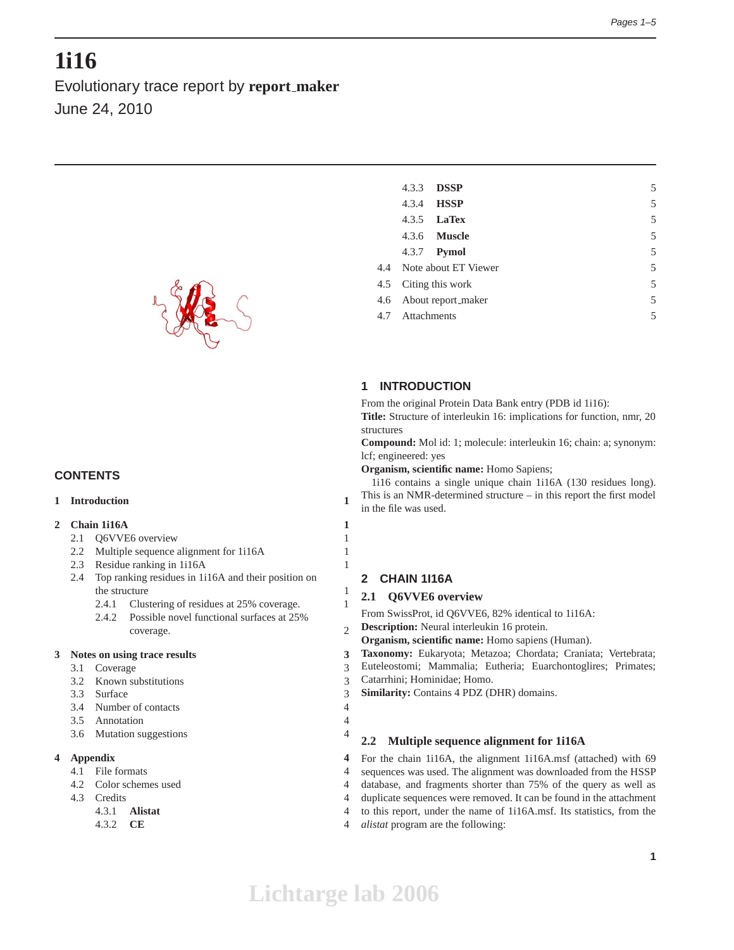# **1i16**

Evolutionary trace report by **report maker** June 24, 2010



# **CONTENTS**

# **1 Introduction 1**

#### **2 Chain 1i16A 1**

- 2.1 Q6VVE6 overview 1
- 2.2 Multiple sequence alignment for 1i16A 1
- 2.3 Residue ranking in 1i16A 1
- 2.4 Top ranking residues in 1i16A and their position on the structure 1
	- 2.4.1 Clustering of residues at 25% coverage. 1
	- 2.4.2 Possible novel functional surfaces at 25% coverage. 2

#### **3 Notes on using trace results 3**

- 3.1 Coverage 3
- 3.2 Known substitutions 3
- 3.3 Surface 3
- 3.4 Number of contacts 4
- 3.5 Annotation 4
- 3.6 Mutation suggestions 4

# **4 Appendix 4**

- 4.1 File formats 4
- 4.2 Color schemes used 4
- 4.3 Credits 4
	- 4.3.1 **Alistat** 4
	- 4.3.2 **CE** 4

| 4.3.3           | <b>DSSP</b>              | 5 |
|-----------------|--------------------------|---|
| 4.3.4           | <b>HSSP</b>              | 5 |
|                 | 4.3.5 <b>LaTex</b>       | 5 |
|                 | 4.3.6 <b>Muscle</b>      | 5 |
|                 | 4.3.7 <b>Pymol</b>       | 5 |
|                 | 4.4 Note about ET Viewer | 5 |
|                 | 4.5 Citing this work     | 5 |
|                 | 4.6 About report_maker   | 5 |
| 4.7 Attachments |                          | 5 |
|                 |                          |   |

# **1 INTRODUCTION**

From the original Protein Data Bank entry (PDB id 1i16):

**Title:** Structure of interleukin 16: implications for function, nmr, 20 structures

**Compound:** Mol id: 1; molecule: interleukin 16; chain: a; synonym: lcf; engineered: yes

**Organism, scientific name:** Homo Sapiens;

1i16 contains a single unique chain 1i16A (130 residues long). This is an NMR-determined structure – in this report the first model in the file was used.

# **2 CHAIN 1I16A**

# **2.1 Q6VVE6 overview**

From SwissProt, id Q6VVE6, 82% identical to 1i16A:

**Description:** Neural interleukin 16 protein.

**Organism, scientific name:** Homo sapiens (Human).

- **Taxonomy:** Eukaryota; Metazoa; Chordata; Craniata; Vertebrata;
- Euteleostomi; Mammalia; Eutheria; Euarchontoglires; Primates;
- Catarrhini; Hominidae; Homo.
- **Similarity:** Contains 4 PDZ (DHR) domains.
- 

# **2.2 Multiple sequence alignment for 1i16A**

For the chain 1i16A, the alignment 1i16A.msf (attached) with 69 sequences was used. The alignment was downloaded from the HSSP database, and fragments shorter than 75% of the query as well as duplicate sequences were removed. It can be found in the attachment to this report, under the name of 1i16A.msf. Its statistics, from the *alistat* program are the following:

**Lichtarge lab 2006**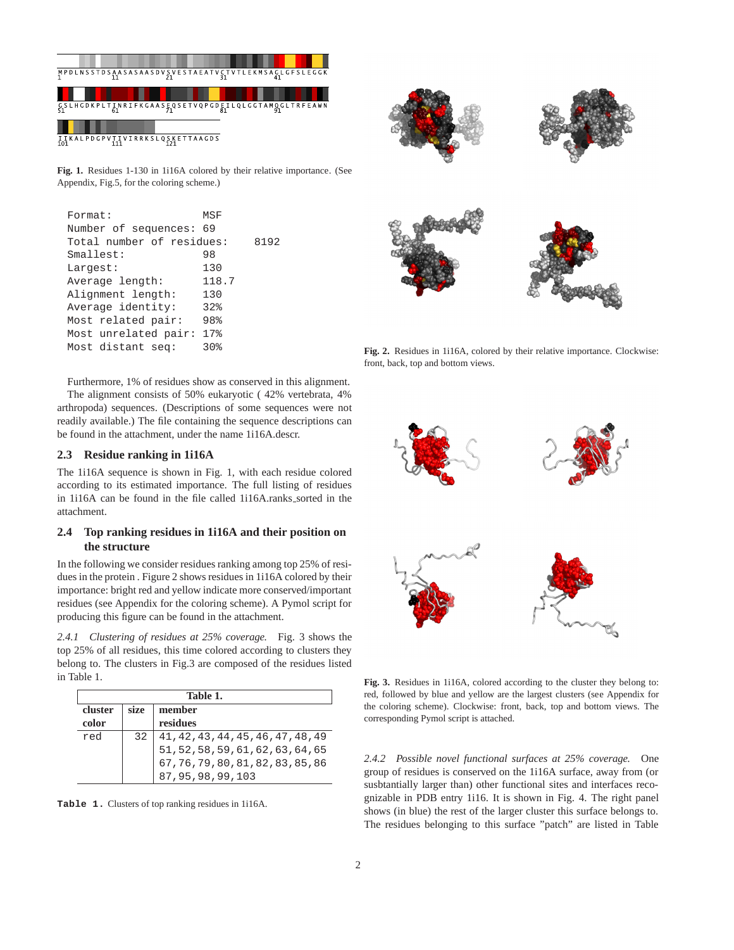

**Fig. 1.** Residues 1-130 in 1i16A colored by their relative importance. (See Appendix, Fig.5, for the coloring scheme.)

| Format:                   | MSF      |      |
|---------------------------|----------|------|
| Number of sequences:      | 69       |      |
| Total number of residues: |          | 8192 |
| Smallest:                 | 98       |      |
| Largest:                  | 130      |      |
| Average length:           | 118.7    |      |
| Alignment length:         | 130      |      |
| Average identity:         | 32%      |      |
| Most related pair:        | 98%      |      |
| Most unrelated pair:      | $17$ $%$ |      |
| Most distant seq:         | 30%      |      |
|                           |          |      |

Furthermore, 1% of residues show as conserved in this alignment. The alignment consists of 50% eukaryotic ( 42% vertebrata, 4% arthropoda) sequences. (Descriptions of some sequences were not readily available.) The file containing the sequence descriptions can be found in the attachment, under the name 1i16A.descr.

# **2.3 Residue ranking in 1i16A**

The 1i16A sequence is shown in Fig. 1, with each residue colored according to its estimated importance. The full listing of residues in 1i16A can be found in the file called 1i16A.ranks sorted in the attachment.

# **2.4 Top ranking residues in 1i16A and their position on the structure**

In the following we consider residues ranking among top 25% of residues in the protein . Figure 2 shows residues in 1i16A colored by their importance: bright red and yellow indicate more conserved/important residues (see Appendix for the coloring scheme). A Pymol script for producing this figure can be found in the attachment.

*2.4.1 Clustering of residues at 25% coverage.* Fig. 3 shows the top 25% of all residues, this time colored according to clusters they belong to. The clusters in Fig.3 are composed of the residues listed in Table 1.

|         | Table 1. |                                                                                                                                                                                               |  |  |
|---------|----------|-----------------------------------------------------------------------------------------------------------------------------------------------------------------------------------------------|--|--|
| cluster | size.    | member                                                                                                                                                                                        |  |  |
| color   |          | residues                                                                                                                                                                                      |  |  |
| red     | 32       | $\begin{array}{l} 41\,, 42\,, 43\,, 44\,, 45\,, 46\,, 47\,, 48\,, 49 \\ 51\,, 52\,, 58\,, 59\,, 61\,, 62\,, 63\,, 64\,, 65 \\ 67\,, 76\,, 79\,, 80\,, 81\,, 82\,, 83\,, 85\,, 86 \end{array}$ |  |  |
|         |          |                                                                                                                                                                                               |  |  |
|         |          |                                                                                                                                                                                               |  |  |
|         |          | 87, 95, 98, 99, 103                                                                                                                                                                           |  |  |

**Table 1.** Clusters of top ranking residues in 1i16A.

**Fig. 2.** Residues in 1i16A, colored by their relative importance. Clockwise: front, back, top and bottom views.



**Fig. 3.** Residues in 1i16A, colored according to the cluster they belong to: red, followed by blue and yellow are the largest clusters (see Appendix for the coloring scheme). Clockwise: front, back, top and bottom views. The corresponding Pymol script is attached.

*2.4.2 Possible novel functional surfaces at 25% coverage.* One group of residues is conserved on the 1i16A surface, away from (or susbtantially larger than) other functional sites and interfaces recognizable in PDB entry 1i16. It is shown in Fig. 4. The right panel shows (in blue) the rest of the larger cluster this surface belongs to. The residues belonging to this surface "patch" are listed in Table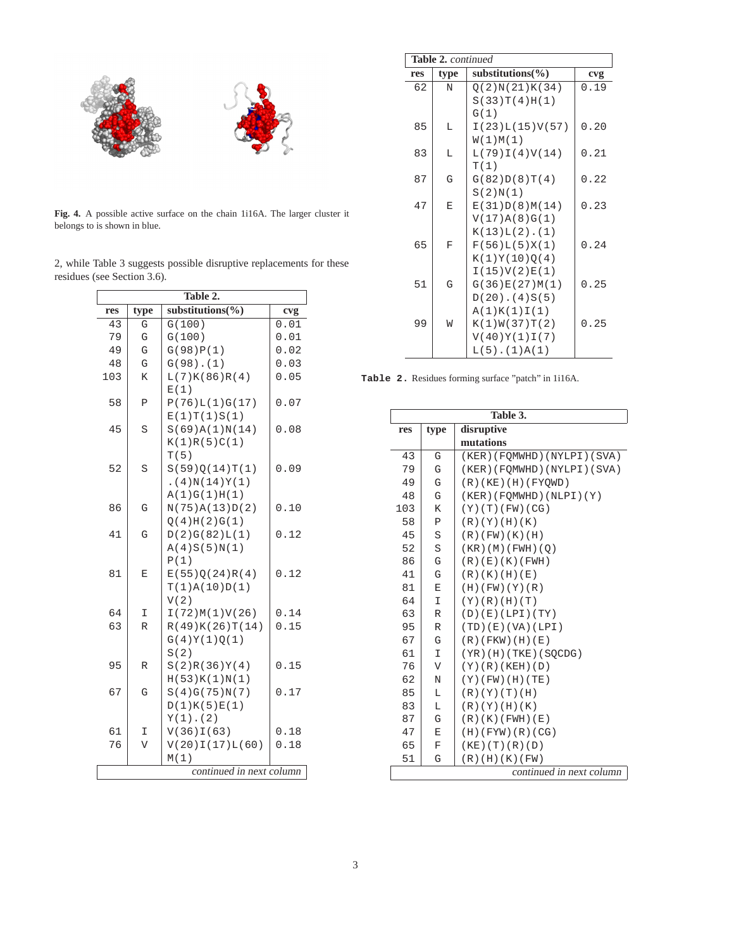

**Fig. 4.** A possible active surface on the chain 1i16A. The larger cluster it belongs to is shown in blue.

|  |                             |  | 2, while Table 3 suggests possible disruptive replacements for these |  |
|--|-----------------------------|--|----------------------------------------------------------------------|--|
|  | residues (see Section 3.6). |  |                                                                      |  |

| Table 2.                 |                                      |                       |      |  |  |  |
|--------------------------|--------------------------------------|-----------------------|------|--|--|--|
| res                      | substitutions( $\%$ )<br>type<br>cvg |                       |      |  |  |  |
| 43                       | G                                    | G(100)                | 0.01 |  |  |  |
| 79                       | G                                    | G(100)                | 0.01 |  |  |  |
| 49                       | G                                    | G(98)P(1)             | 0.02 |  |  |  |
| 48                       | G                                    | G(98) . (1)           | 0.03 |  |  |  |
| 103                      | K                                    | L(7)K(86)R(4)         | 0.05 |  |  |  |
|                          |                                      | E(1)                  |      |  |  |  |
| 58                       | $\mathbf P$                          | P(76)L(1)G(17)        | 0.07 |  |  |  |
|                          |                                      | E(1)T(1)S(1)          |      |  |  |  |
| 45                       | S                                    | S(69)A(1)N(14)        | 0.08 |  |  |  |
|                          |                                      | K(1)R(5)C(1)          |      |  |  |  |
|                          |                                      | T(5)                  |      |  |  |  |
| 52                       | S                                    | S(59)Q(14)T(1)        | 0.09 |  |  |  |
|                          |                                      | .(4)N(14)Y(1)         |      |  |  |  |
|                          |                                      | A(1)G(1)H(1)          |      |  |  |  |
| 86                       | G                                    | N(75)A(13)D(2)        | 0.10 |  |  |  |
|                          |                                      | Q(4)H(2)G(1)          |      |  |  |  |
| 41                       | G                                    | D(2)G(82)L(1)         | 0.12 |  |  |  |
|                          |                                      | A(4)S(5)N(1)          |      |  |  |  |
|                          |                                      | P(1)                  |      |  |  |  |
| 81                       | E                                    | E(55)Q(24)R(4)        | 0.12 |  |  |  |
|                          |                                      | T(1)A(10)D(1)<br>V(2) |      |  |  |  |
| 64                       | I                                    | I(72)M(1)V(26)        | 0.14 |  |  |  |
| 63                       | R                                    | R(49)K(26)T(14)       | 0.15 |  |  |  |
|                          |                                      | G(4)Y(1)Q(1)          |      |  |  |  |
|                          |                                      | S(2)                  |      |  |  |  |
| 95                       | R                                    | S(2)R(36)Y(4)         | 0.15 |  |  |  |
|                          |                                      | H(53)K(1)N(1)         |      |  |  |  |
| 67                       | G                                    | S(4)G(75)N(7)         | 0.17 |  |  |  |
|                          |                                      | D(1)K(5)E(1)          |      |  |  |  |
|                          |                                      | $Y(1)$ . (2)          |      |  |  |  |
| 61                       | I                                    | V(36)I(63)            | 0.18 |  |  |  |
| 76                       | V                                    | V(20)I(17)L(60)       | 0.18 |  |  |  |
|                          |                                      | M(1)                  |      |  |  |  |
| continued in next column |                                      |                       |      |  |  |  |
|                          |                                      |                       |      |  |  |  |

|     | <b>Table 2. continued</b> |                       |      |  |  |
|-----|---------------------------|-----------------------|------|--|--|
| res | type                      | substitutions $(\% )$ | cvg  |  |  |
| 62  | N                         | O(2)N(21)K(34)        | 0.19 |  |  |
|     |                           | S(33)T(4)H(1)         |      |  |  |
|     |                           | G(1)                  |      |  |  |
| 85  | L                         | I(23)L(15)V(57)       | 0.20 |  |  |
|     |                           | W(1)M(1)              |      |  |  |
| 83  | L                         | L(79)I(4)V(14)        | 0.21 |  |  |
|     |                           | T(1)                  |      |  |  |
| 87  | G                         | G(82)D(8)T(4)         | 0.22 |  |  |
|     |                           | S(2)N(1)              |      |  |  |
| 47  | E                         | E(31)D(8)M(14)        | 0.23 |  |  |
|     |                           | V(17)A(8)G(1)         |      |  |  |
|     |                           | $K(13)L(2)$ . $(1)$   |      |  |  |
| 65  | $\mathbf{F}$              | F(56)L(5)X(1)         | 0.24 |  |  |
|     |                           | K(1)Y(10)Q(4)         |      |  |  |
|     |                           | I(15)V(2)E(1)         |      |  |  |
| 51  | G                         | G(36)E(27)M(1)        | 0.25 |  |  |
|     |                           | $D(20)$ . $(4)S(5)$   |      |  |  |
|     |                           | A(1)K(1)I(1)          |      |  |  |
| 99  | W                         | K(1)W(37)T(2)         | 0.25 |  |  |
|     |                           | V(40)Y(1)I(7)         |      |  |  |
|     |                           | $L(5)$ . $(1)A(1)$    |      |  |  |

**Table 2.** Residues forming surface "patch" in 1i16A.

|                          | Table 3.           |                              |  |  |  |
|--------------------------|--------------------|------------------------------|--|--|--|
| res                      | disruptive<br>type |                              |  |  |  |
|                          |                    | mutations                    |  |  |  |
| 43                       | G                  | (KER) (FOMWHD) (NYLPI) (SVA) |  |  |  |
| 79                       | G                  | (KER)(FOMWHD)(NYLPI)(SVA)    |  |  |  |
| 49                       | G                  | (R)(KE)(H)(FYOWD)            |  |  |  |
| 48                       | G                  | (KER)(FOMWHD)(NLPI)(Y)       |  |  |  |
| 103                      | K                  | (Y)(T)(FW)(CG)               |  |  |  |
| 58                       | Ρ                  | (R)(Y)(H)(K)                 |  |  |  |
| 45                       | S                  | (R)(FW)(K)(H)                |  |  |  |
| 52                       | S                  | (KR) (M) (FWH) (O)           |  |  |  |
| 86                       | G                  | (R)(E)(K)(FWH)               |  |  |  |
| 41                       | G                  | (R)(K)(H)(E)                 |  |  |  |
| 81                       | E                  | (H)(FW)(Y)(R)                |  |  |  |
| 64                       | I                  | (Y)(R)(H)(T)                 |  |  |  |
| 63                       | R                  | (D)(E)(LPI)(TY)              |  |  |  |
| 95                       | R                  | (TD)(E)(VA)(LPI)             |  |  |  |
| 67                       | G                  | $(R)$ (FKW) $(H)$ (E)        |  |  |  |
| 61                       | T.                 | $(YR)$ (H) (TKE) (SQCDG)     |  |  |  |
| 76                       | V                  | (Y)(R)(KEH)(D)               |  |  |  |
| 62                       | N                  | $(Y)$ (FW) (H) (TE)          |  |  |  |
| 85                       | Г                  | (R)(Y)(T)(H)                 |  |  |  |
| 83                       | L                  | (R)(Y)(H)(K)                 |  |  |  |
| 87                       | G                  | (R)(K)(FWH)(E)               |  |  |  |
| 47                       | E                  | (H)(FYW)(R)(CG)              |  |  |  |
| 65                       | $\mathbf F$        | $(KE)$ (T) $(R)$ (D)         |  |  |  |
| 51                       | G                  | (R) (H) (K) (FW)             |  |  |  |
| continued in next column |                    |                              |  |  |  |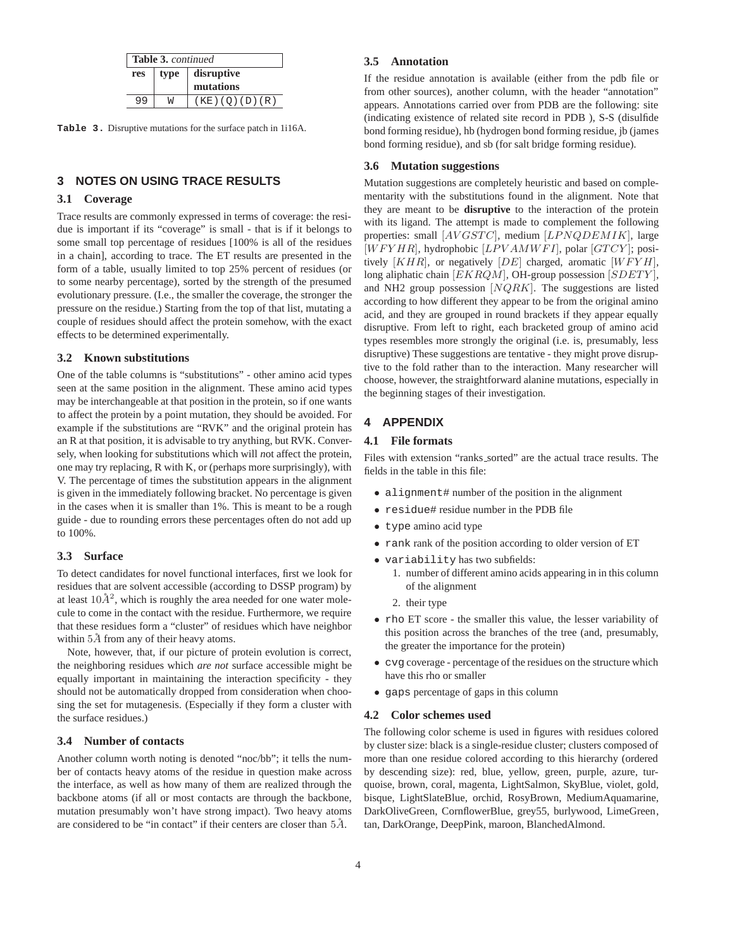| <b>Table 3. continued</b> |   |                          |  |
|---------------------------|---|--------------------------|--|
| res                       |   | type   disruptive        |  |
|                           |   | mutations                |  |
| 9 9                       | W | $(KE)$ $(O)$ $(D)$ $(R)$ |  |

**Table 3.** Disruptive mutations for the surface patch in 1i16A.

# **3 NOTES ON USING TRACE RESULTS**

### **3.1 Coverage**

Trace results are commonly expressed in terms of coverage: the residue is important if its "coverage" is small - that is if it belongs to some small top percentage of residues [100% is all of the residues in a chain], according to trace. The ET results are presented in the form of a table, usually limited to top 25% percent of residues (or to some nearby percentage), sorted by the strength of the presumed evolutionary pressure. (I.e., the smaller the coverage, the stronger the pressure on the residue.) Starting from the top of that list, mutating a couple of residues should affect the protein somehow, with the exact effects to be determined experimentally.

### **3.2 Known substitutions**

One of the table columns is "substitutions" - other amino acid types seen at the same position in the alignment. These amino acid types may be interchangeable at that position in the protein, so if one wants to affect the protein by a point mutation, they should be avoided. For example if the substitutions are "RVK" and the original protein has an R at that position, it is advisable to try anything, but RVK. Conversely, when looking for substitutions which will *n*ot affect the protein, one may try replacing, R with K, or (perhaps more surprisingly), with V. The percentage of times the substitution appears in the alignment is given in the immediately following bracket. No percentage is given in the cases when it is smaller than 1%. This is meant to be a rough guide - due to rounding errors these percentages often do not add up to 100%.

#### **3.3 Surface**

To detect candidates for novel functional interfaces, first we look for residues that are solvent accessible (according to DSSP program) by at least  $10\AA^2$ , which is roughly the area needed for one water molecule to come in the contact with the residue. Furthermore, we require that these residues form a "cluster" of residues which have neighbor within  $5\AA$  from any of their heavy atoms.

Note, however, that, if our picture of protein evolution is correct, the neighboring residues which *are not* surface accessible might be equally important in maintaining the interaction specificity - they should not be automatically dropped from consideration when choosing the set for mutagenesis. (Especially if they form a cluster with the surface residues.)

# **3.4 Number of contacts**

Another column worth noting is denoted "noc/bb"; it tells the number of contacts heavy atoms of the residue in question make across the interface, as well as how many of them are realized through the backbone atoms (if all or most contacts are through the backbone, mutation presumably won't have strong impact). Two heavy atoms are considered to be "in contact" if their centers are closer than  $5\AA$ .

### **3.5 Annotation**

If the residue annotation is available (either from the pdb file or from other sources), another column, with the header "annotation" appears. Annotations carried over from PDB are the following: site (indicating existence of related site record in PDB ), S-S (disulfide bond forming residue), hb (hydrogen bond forming residue, jb (james bond forming residue), and sb (for salt bridge forming residue).

#### **3.6 Mutation suggestions**

Mutation suggestions are completely heuristic and based on complementarity with the substitutions found in the alignment. Note that they are meant to be **disruptive** to the interaction of the protein with its ligand. The attempt is made to complement the following properties: small [AVGSTC], medium [LPNQDEMIK], large  $[WFYHR]$ , hydrophobic  $[LPVAMWFI]$ , polar  $[GTCY]$ ; positively  $[KHR]$ , or negatively  $[DE]$  charged, aromatic  $[WFYH]$ , long aliphatic chain  $[EKRQM]$ , OH-group possession  $[SDETY]$ , and NH2 group possession  $[NQRK]$ . The suggestions are listed according to how different they appear to be from the original amino acid, and they are grouped in round brackets if they appear equally disruptive. From left to right, each bracketed group of amino acid types resembles more strongly the original (i.e. is, presumably, less disruptive) These suggestions are tentative - they might prove disruptive to the fold rather than to the interaction. Many researcher will choose, however, the straightforward alanine mutations, especially in the beginning stages of their investigation.

# **4 APPENDIX**

# **4.1 File formats**

Files with extension "ranks sorted" are the actual trace results. The fields in the table in this file:

- alignment# number of the position in the alignment
- residue# residue number in the PDB file
- type amino acid type
- rank rank of the position according to older version of ET
- variability has two subfields:
	- 1. number of different amino acids appearing in in this column of the alignment
	- 2. their type
- rho ET score the smaller this value, the lesser variability of this position across the branches of the tree (and, presumably, the greater the importance for the protein)
- cvg coverage percentage of the residues on the structure which have this rho or smaller
- gaps percentage of gaps in this column

#### **4.2 Color schemes used**

The following color scheme is used in figures with residues colored by cluster size: black is a single-residue cluster; clusters composed of more than one residue colored according to this hierarchy (ordered by descending size): red, blue, yellow, green, purple, azure, turquoise, brown, coral, magenta, LightSalmon, SkyBlue, violet, gold, bisque, LightSlateBlue, orchid, RosyBrown, MediumAquamarine, DarkOliveGreen, CornflowerBlue, grey55, burlywood, LimeGreen, tan, DarkOrange, DeepPink, maroon, BlanchedAlmond.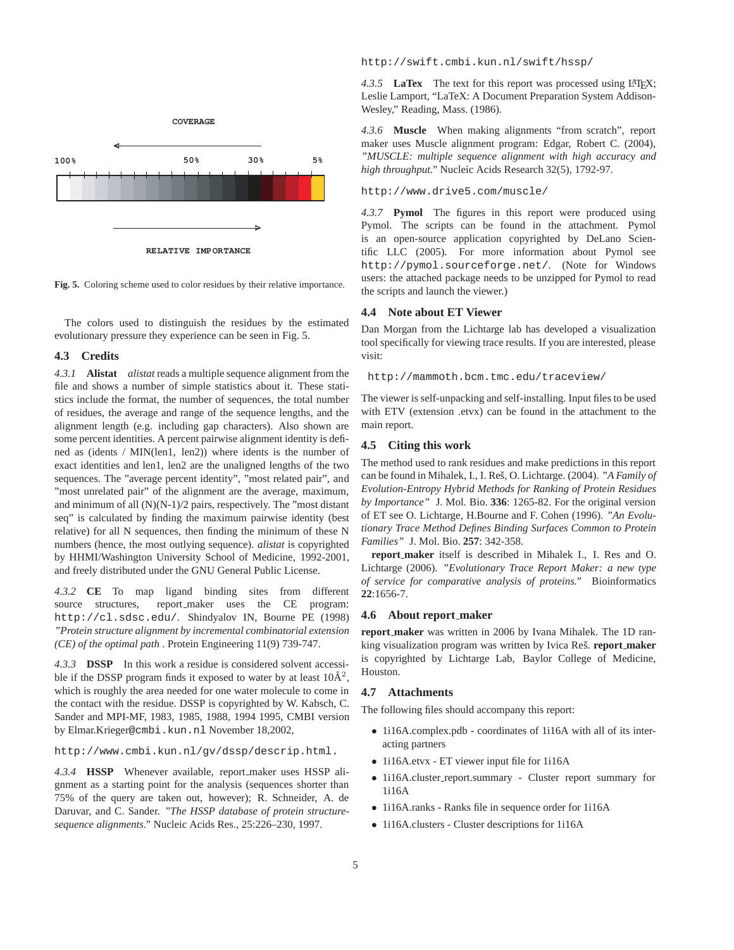

**Fig. 5.** Coloring scheme used to color residues by their relative importance.

The colors used to distinguish the residues by the estimated evolutionary pressure they experience can be seen in Fig. 5.

#### **4.3 Credits**

*4.3.1* **Alistat** *alistat* reads a multiple sequence alignment from the file and shows a number of simple statistics about it. These statistics include the format, the number of sequences, the total number of residues, the average and range of the sequence lengths, and the alignment length (e.g. including gap characters). Also shown are some percent identities. A percent pairwise alignment identity is defined as (idents / MIN(len1, len2)) where idents is the number of exact identities and len1, len2 are the unaligned lengths of the two sequences. The "average percent identity", "most related pair", and "most unrelated pair" of the alignment are the average, maximum, and minimum of all (N)(N-1)/2 pairs, respectively. The "most distant seq" is calculated by finding the maximum pairwise identity (best relative) for all N sequences, then finding the minimum of these N numbers (hence, the most outlying sequence). *alistat* is copyrighted by HHMI/Washington University School of Medicine, 1992-2001, and freely distributed under the GNU General Public License.

*4.3.2* **CE** To map ligand binding sites from different source structures, report\_maker uses the CE program: http://cl.sdsc.edu/. Shindyalov IN, Bourne PE (1998) *"Protein structure alignment by incremental combinatorial extension (CE) of the optimal path* . Protein Engineering 11(9) 739-747.

*4.3.3* **DSSP** In this work a residue is considered solvent accessible if the DSSP program finds it exposed to water by at least  $10\text{\AA}^2$ , which is roughly the area needed for one water molecule to come in the contact with the residue. DSSP is copyrighted by W. Kabsch, C. Sander and MPI-MF, 1983, 1985, 1988, 1994 1995, CMBI version by Elmar.Krieger@cmbi.kun.nl November 18,2002,

http://www.cmbi.kun.nl/gv/dssp/descrip.html.

*4.3.4* **HSSP** Whenever available, report maker uses HSSP alignment as a starting point for the analysis (sequences shorter than 75% of the query are taken out, however); R. Schneider, A. de Daruvar, and C. Sander. *"The HSSP database of protein structuresequence alignments."* Nucleic Acids Res., 25:226–230, 1997.

http://swift.cmbi.kun.nl/swift/hssp/

4.3.5 **LaTex** The text for this report was processed using LATEX; Leslie Lamport, "LaTeX: A Document Preparation System Addison-Wesley," Reading, Mass. (1986).

*4.3.6* **Muscle** When making alignments "from scratch", report maker uses Muscle alignment program: Edgar, Robert C. (2004), *"MUSCLE: multiple sequence alignment with high accuracy and high throughput."* Nucleic Acids Research 32(5), 1792-97.

# http://www.drive5.com/muscle/

*4.3.7* **Pymol** The figures in this report were produced using Pymol. The scripts can be found in the attachment. Pymol is an open-source application copyrighted by DeLano Scientific LLC (2005). For more information about Pymol see http://pymol.sourceforge.net/. (Note for Windows users: the attached package needs to be unzipped for Pymol to read the scripts and launch the viewer.)

#### **4.4 Note about ET Viewer**

Dan Morgan from the Lichtarge lab has developed a visualization tool specifically for viewing trace results. If you are interested, please visit:

http://mammoth.bcm.tmc.edu/traceview/

The viewer is self-unpacking and self-installing. Input files to be used with ETV (extension .etvx) can be found in the attachment to the main report.

#### **4.5 Citing this work**

The method used to rank residues and make predictions in this report can be found in Mihalek, I., I. Res, O. Lichtarge. (2004). ˇ *"A Family of Evolution-Entropy Hybrid Methods for Ranking of Protein Residues by Importance"* J. Mol. Bio. **336**: 1265-82. For the original version of ET see O. Lichtarge, H.Bourne and F. Cohen (1996). *"An Evolutionary Trace Method Defines Binding Surfaces Common to Protein Families"* J. Mol. Bio. **257**: 342-358.

**report maker** itself is described in Mihalek I., I. Res and O. Lichtarge (2006). *"Evolutionary Trace Report Maker: a new type of service for comparative analysis of proteins."* Bioinformatics **22**:1656-7.

#### **4.6 About report maker**

**report maker** was written in 2006 by Ivana Mihalek. The 1D ranking visualization program was written by Ivica Reš. **report\_maker** is copyrighted by Lichtarge Lab, Baylor College of Medicine, Houston.

#### **4.7 Attachments**

The following files should accompany this report:

- 1i16A.complex.pdb coordinates of 1i16A with all of its interacting partners
- 1i16A.etvx ET viewer input file for 1i16A
- 1i16A.cluster report.summary Cluster report summary for 1i16A
- 1i16A.ranks Ranks file in sequence order for 1i16A
- 1i16A.clusters Cluster descriptions for 1i16A